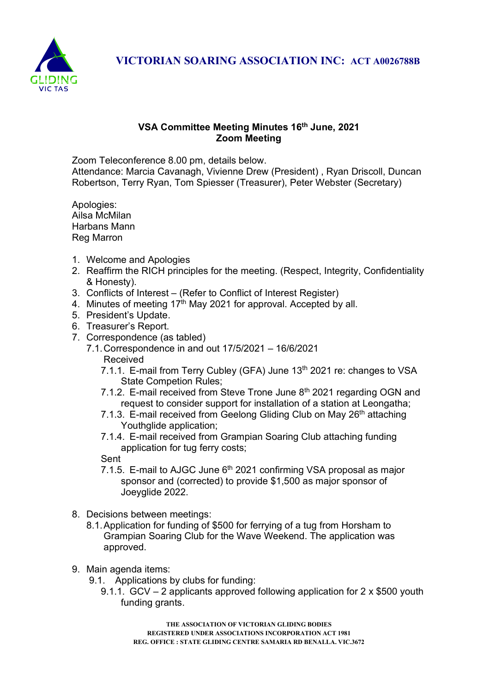

VICTORIAN SOARING ASSOCIATION INC: ACT A0026788B

## VSA Committee Meeting Minutes 16th June, 2021 Zoom Meeting

Zoom Teleconference 8.00 pm, details below. Attendance: Marcia Cavanagh, Vivienne Drew (President) , Ryan Driscoll, Duncan Robertson, Terry Ryan, Tom Spiesser (Treasurer), Peter Webster (Secretary)

Apologies: Ailsa McMilan Harbans Mann Reg Marron

- 1. Welcome and Apologies
- 2. Reaffirm the RICH principles for the meeting. (Respect, Integrity, Confidentiality & Honesty).
- 3. Conflicts of Interest (Refer to Conflict of Interest Register)
- 4. Minutes of meeting 17<sup>th</sup> May 2021 for approval. Accepted by all.
- 5. President's Update.
- 6. Treasurer's Report.
- 7. Correspondence (as tabled)
	- 7.1. Correspondence in and out 17/5/2021 16/6/2021 Received
		- 7.1.1. E-mail from Terry Cubley (GFA) June 13<sup>th</sup> 2021 re: changes to VSA State Competion Rules;
		- 7.1.2. E-mail received from Steve Trone June 8<sup>th</sup> 2021 regarding OGN and request to consider support for installation of a station at Leongatha;
		- 7.1.3. E-mail received from Geelong Gliding Club on May 26<sup>th</sup> attaching Youthglide application;
		- 7.1.4. E-mail received from Grampian Soaring Club attaching funding application for tug ferry costs;

Sent

- 7.1.5. E-mail to AJGC June  $6<sup>th</sup>$  2021 confirming VSA proposal as major sponsor and (corrected) to provide \$1,500 as major sponsor of Joeyglide 2022.
- 8. Decisions between meetings:
	- 8.1. Application for funding of \$500 for ferrying of a tug from Horsham to Grampian Soaring Club for the Wave Weekend. The application was approved.
- 9. Main agenda items:
	- 9.1. Applications by clubs for funding:
		- 9.1.1. GCV 2 applicants approved following application for 2 x \$500 youth funding grants.

THE ASSOCIATION OF VICTORIAN GLIDING BODIES REGISTERED UNDER ASSOCIATIONS INCORPORATION ACT 1981 REG. OFFICE : STATE GLIDING CENTRE SAMARIA RD BENALLA. VIC.3672